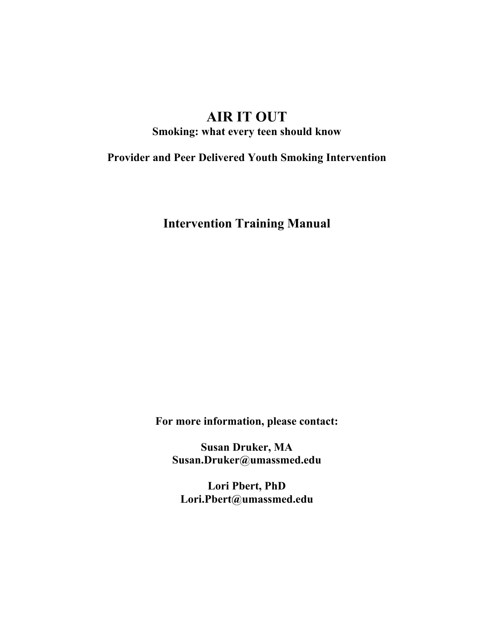# **AIR IT OUT**

**Smoking: what every teen should know** 

**Provider and Peer Delivered Youth Smoking Intervention** 

**Intervention Training Manual** 

**For more information, please contact:** 

**Susan Druker, MA Susan.Druker@umassmed.edu** 

**Lori Pbert, PhD Lori.Pbert@umassmed.edu**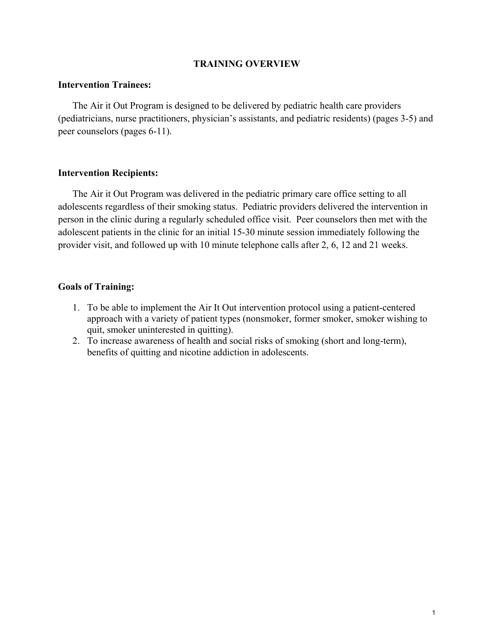#### **TRAINING OVERVIEW**

#### **Intervention Trainees:**

The Air it Out Program is designed to be delivered by pediatric health care providers (pediatricians, nurse practitioners, physician's assistants, and pediatric residents) (pages 3-5) and peer counselors (pages 6-11).

#### **Intervention Recipients:**

The Air it Out Program was delivered in the pediatric primary care office setting to all adolescents regardless of their smoking status. Pediatric providers delivered the intervention in person in the clinic during a regularly scheduled office visit. Peer counselors then met with the adolescent patients in the clinic for an initial 15-30 minute session immediately following the provider visit, and followed up with 10 minute telephone calls after 2, 6, 12 and 21 weeks.

#### **Goals of Training:**

- 1. To be able to implement the Air It Out intervention protocol using a patient-centered approach with a variety of patient types (nonsmoker, former smoker, smoker wishing to quit, smoker uninterested in quitting).
- 2. To increase awareness of health and social risks of smoking (short and long-term), benefits of quitting and nicotine addiction in adolescents.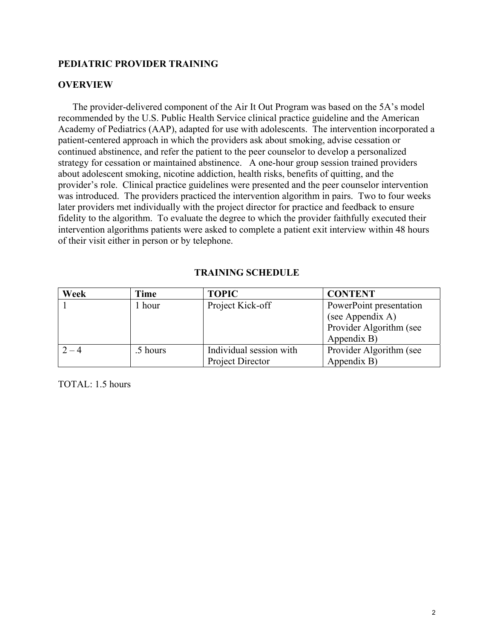## **PEDIATRIC PROVIDER TRAINING**

#### **OVERVIEW**

The provider-delivered component of the Air It Out Program was based on the 5A's model recommended by the U.S. Public Health Service clinical practice guideline and the American Academy of Pediatrics (AAP), adapted for use with adolescents. The intervention incorporated a patient-centered approach in which the providers ask about smoking, advise cessation or continued abstinence, and refer the patient to the peer counselor to develop a personalized strategy for cessation or maintained abstinence. A one-hour group session trained providers about adolescent smoking, nicotine addiction, health risks, benefits of quitting, and the provider's role. Clinical practice guidelines were presented and the peer counselor intervention was introduced. The providers practiced the intervention algorithm in pairs. Two to four weeks later providers met individually with the project director for practice and feedback to ensure fidelity to the algorithm. To evaluate the degree to which the provider faithfully executed their intervention algorithms patients were asked to complete a patient exit interview within 48 hours of their visit either in person or by telephone.

#### **TRAINING SCHEDULE**

| Week    | Time              | <b>TOPIC</b>            | <b>CONTENT</b>          |
|---------|-------------------|-------------------------|-------------------------|
|         | <sub>1</sub> hour | Project Kick-off        | PowerPoint presentation |
|         |                   |                         | (see Appendix A)        |
|         |                   |                         | Provider Algorithm (see |
|         |                   |                         | Appendix B)             |
| $2 - 4$ | .5 hours          | Individual session with | Provider Algorithm (see |
|         |                   | Project Director        | Appendix B)             |

 $TOTAL: 1.5 hours$